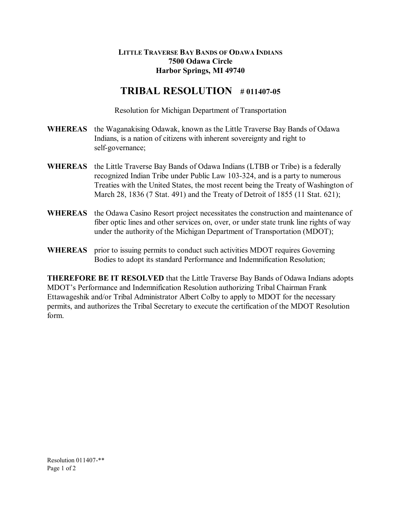## **LITTLE TRAVERSE BAY BANDS OF ODAWA INDIANS 7500 Odawa Circle Harbor Springs, MI 49740**

## **TRIBAL RESOLUTION** # 011407-05

Resolution for Michigan Department of Transportation

- **WHEREAS** the Waganakising Odawak, known as the Little Traverse Bay Bands of Odawa Indians, is a nation of citizens with inherent sovereignty and right to self-governance;
- **WHEREAS** the Little Traverse Bay Bands of Odawa Indians (LTBB or Tribe) is a federally recognized Indian Tribe under Public Law 103-324, and is a party to numerous Treaties with the United States, the most recent being the Treaty of Washington of March 28, 1836 (7 Stat. 491) and the Treaty of Detroit of 1855 (11 Stat. 621);
- **WHEREAS** the Odawa Casino Resort project necessitates the construction and maintenance of fiber optic lines and other services on, over, or under state trunk line rights of way under the authority of the Michigan Department of Transportation (MDOT);
- **WHEREAS** prior to issuing permits to conduct such activities MDOT requires Governing Bodies to adopt its standard Performance and Indemnification Resolution;

**THEREFORE BE IT RESOLVED** that the Little Traverse Bay Bands of Odawa Indians adopts MDOT's Performance and Indemnification Resolution authorizing Tribal Chairman Frank Ettawageshik and/or Tribal Administrator Albert Colby to apply to MDOT for the necessary permits, and authorizes the Tribal Secretary to execute the certification of the MDOT Resolution form.